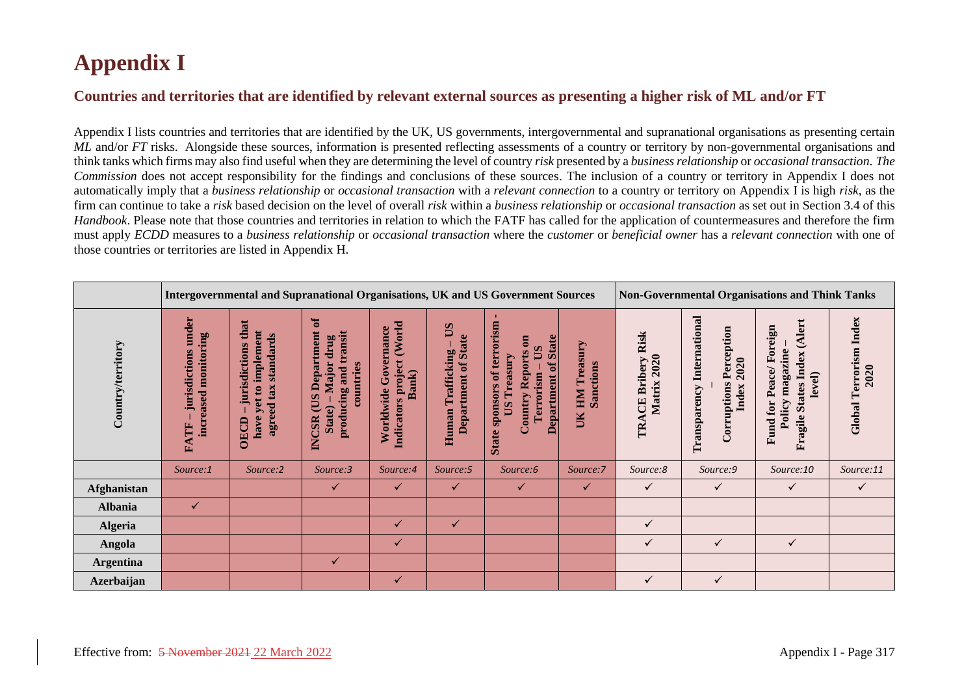## **Appendix I**

## **Countries and territories that are identified by relevant external sources as presenting a higher risk of ML and/or FT**

Appendix I lists countries and territories that are identified by the UK, US governments, intergovernmental and supranational organisations as presenting certain *ML* and/or *FT* risks. Alongside these sources, information is presented reflecting assessments of a country or territory by non-governmental organisations and think tanks which firms may also find useful when they are determining the level of country *risk* presented by a *business relationship* or *occasional transaction*. *The Commission* does not accept responsibility for the findings and conclusions of these sources. The inclusion of a country or territory in Appendix I does not automatically imply that a *business relationship* or *occasional transaction* with a *relevant connection* to a country or territory on Appendix I is high *risk*, as the firm can continue to take a *risk* based decision on the level of overall *risk* within a *business relationship* or *occasional transaction* as set out in Section 3.4 of this *Handbook*. Please note that those countries and territories in relation to which the FATF has called for the application of countermeasures and therefore the firm must apply *ECDD* measures to a *business relationship* or *occasional transaction* where the *customer* or *beneficial owner* has a *relevant connection* with one of those countries or territories are listed in Appendix H.

|                   |                                                           | Intergovernmental and Supranational Organisations, UK and US Government Sources                      |                                                                                                         |                                                               |                                                   |                                                                                                                                                               |                                           |                                              | <b>Non-Governmental Organisations and Think Tanks</b>                               |                                                                                                    |                                          |  |
|-------------------|-----------------------------------------------------------|------------------------------------------------------------------------------------------------------|---------------------------------------------------------------------------------------------------------|---------------------------------------------------------------|---------------------------------------------------|---------------------------------------------------------------------------------------------------------------------------------------------------------------|-------------------------------------------|----------------------------------------------|-------------------------------------------------------------------------------------|----------------------------------------------------------------------------------------------------|------------------------------------------|--|
| Country/territory | under<br>monitoring<br>jurisdictions<br>increased<br>FATF | that<br>implement<br>standards<br>jurisdictions<br>agreed tax<br>$\mathbf{a}$<br>yet<br>have<br>OECD | $\sigma$<br>Department<br>producing and transit<br>drug<br>Major<br>countries<br>CUS<br>State)<br>INCSR | (World<br>Worldwide Governance<br>Indicators project<br>Bank) | SQ<br>Department of State<br>Trafficking<br>Human | State sponsors of terrorism<br><b>Department of State</b><br>$\overline{\mathbf{e}}$<br>$\mathbf{S}$<br><b>Country Reports</b><br>Treasury<br>Terrorism<br>SQ | Treasury<br>Sanctions<br><b>NHI</b><br>UК | <b>CE Bribery Risk</b><br>Matrix 2020<br>TRA | <b>Transparency International</b><br><b>Corruptions Perception</b><br>2020<br>Index | (Alert<br>Fund for Peace/Foreign<br>magazine<br><b>States Index</b><br>level)<br>Policy<br>Fragile | <b>Terrorism</b> Index<br>2020<br>Global |  |
|                   | Source:1                                                  | Source:2                                                                                             | Source:3                                                                                                | Source:4                                                      | Source:5                                          | Source:6                                                                                                                                                      | Source:7                                  | Source:8                                     | Source:9                                                                            | Source:10                                                                                          | Source:11                                |  |
| Afghanistan       |                                                           |                                                                                                      | $\checkmark$                                                                                            | $\checkmark$                                                  | $\checkmark$                                      | $\checkmark$                                                                                                                                                  | $\checkmark$                              | $\checkmark$                                 | ✓                                                                                   | $\checkmark$                                                                                       | $\checkmark$                             |  |
| <b>Albania</b>    | ✓                                                         |                                                                                                      |                                                                                                         |                                                               |                                                   |                                                                                                                                                               |                                           |                                              |                                                                                     |                                                                                                    |                                          |  |
| <b>Algeria</b>    |                                                           |                                                                                                      |                                                                                                         | ✓                                                             | $\checkmark$                                      |                                                                                                                                                               |                                           | ✓                                            |                                                                                     |                                                                                                    |                                          |  |
| Angola            |                                                           |                                                                                                      |                                                                                                         | $\checkmark$                                                  |                                                   |                                                                                                                                                               |                                           | ✓                                            | ✓                                                                                   | $\checkmark$                                                                                       |                                          |  |
| <b>Argentina</b>  |                                                           |                                                                                                      | ✓                                                                                                       |                                                               |                                                   |                                                                                                                                                               |                                           |                                              |                                                                                     |                                                                                                    |                                          |  |
| <b>Azerbaijan</b> |                                                           |                                                                                                      |                                                                                                         | $\checkmark$                                                  |                                                   |                                                                                                                                                               |                                           | ✓                                            | ✓                                                                                   |                                                                                                    |                                          |  |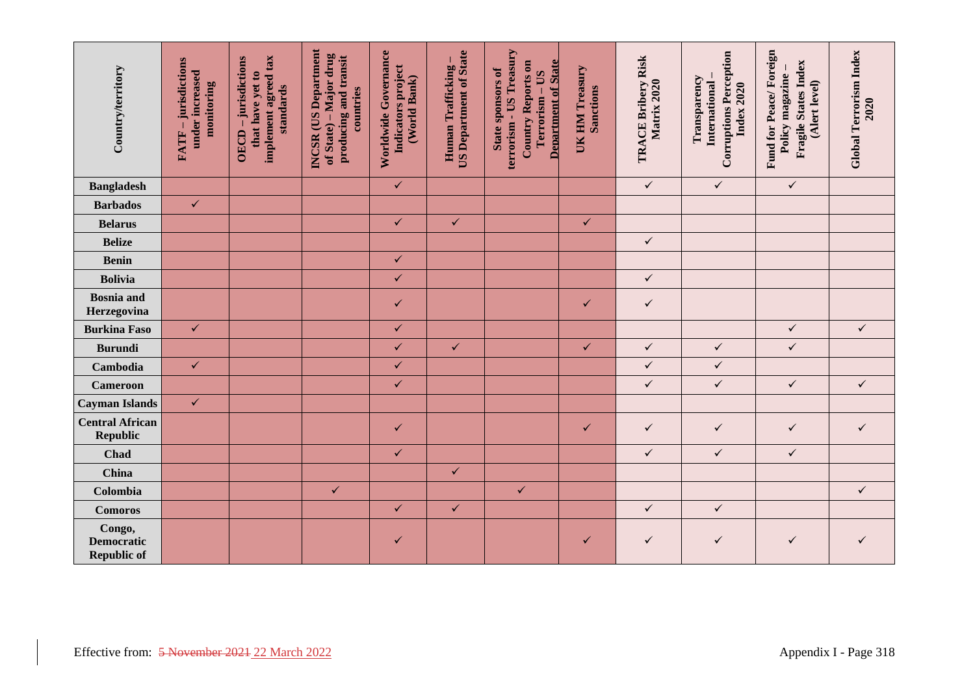| Country/territory                                 | -jurisdictions<br>under increased<br>monitoring<br>FATF-               | implement agreed tax<br>OECD - jurisdictions<br>that have yet to<br>standards | INCSR (US Department<br>of State) – Major drug<br>producing and transit<br>countries | Worldwide Governance<br>Indicators project<br>(World Bank) | <b>US Department of State</b><br>Human Trafficking- | terrorism - US Treasury<br><b>Department of State</b><br>Country Reports on<br>State sponsors of<br>Terrorism - US | UK HM Treasury<br><b>Sanctions</b> | TRACE Bribery Risk<br>Matrix 2020 | <b>Corruptions Perception</b><br>Transparency<br>International<br>Index 2020 | Fund for Peace/Foreign<br>Fragile States Index<br>Policy magazine-<br>(Alert level) | <b>Global Terrorism Index</b><br>2020 |
|---------------------------------------------------|------------------------------------------------------------------------|-------------------------------------------------------------------------------|--------------------------------------------------------------------------------------|------------------------------------------------------------|-----------------------------------------------------|--------------------------------------------------------------------------------------------------------------------|------------------------------------|-----------------------------------|------------------------------------------------------------------------------|-------------------------------------------------------------------------------------|---------------------------------------|
| <b>Bangladesh</b>                                 |                                                                        |                                                                               |                                                                                      | $\checkmark$                                               |                                                     |                                                                                                                    |                                    | $\checkmark$                      | $\checkmark$                                                                 | $\checkmark$                                                                        |                                       |
| <b>Barbados</b>                                   | $\checkmark$                                                           |                                                                               |                                                                                      |                                                            |                                                     |                                                                                                                    |                                    |                                   |                                                                              |                                                                                     |                                       |
| <b>Belarus</b>                                    |                                                                        |                                                                               |                                                                                      | $\checkmark$                                               | $\checkmark$                                        |                                                                                                                    | $\checkmark$                       |                                   |                                                                              |                                                                                     |                                       |
| <b>Belize</b>                                     |                                                                        |                                                                               |                                                                                      |                                                            |                                                     |                                                                                                                    |                                    | $\checkmark$                      |                                                                              |                                                                                     |                                       |
| <b>Benin</b>                                      |                                                                        |                                                                               |                                                                                      | $\checkmark$                                               |                                                     |                                                                                                                    |                                    |                                   |                                                                              |                                                                                     |                                       |
| <b>Bolivia</b>                                    |                                                                        |                                                                               |                                                                                      | $\checkmark$                                               |                                                     |                                                                                                                    |                                    | $\checkmark$                      |                                                                              |                                                                                     |                                       |
| <b>Bosnia</b> and<br>Herzegovina                  |                                                                        |                                                                               |                                                                                      | $\checkmark$                                               |                                                     |                                                                                                                    | ✓                                  | $\checkmark$                      |                                                                              |                                                                                     |                                       |
| <b>Burkina Faso</b>                               | $\checkmark$                                                           |                                                                               |                                                                                      | $\checkmark$                                               |                                                     |                                                                                                                    |                                    |                                   |                                                                              | $\checkmark$                                                                        | $\checkmark$                          |
| <b>Burundi</b>                                    |                                                                        |                                                                               |                                                                                      | $\checkmark$                                               | $\checkmark$                                        |                                                                                                                    | $\checkmark$                       | $\checkmark$                      | $\checkmark$                                                                 | $\checkmark$                                                                        |                                       |
| Cambodia                                          | $\checkmark$                                                           |                                                                               |                                                                                      | $\checkmark$                                               |                                                     |                                                                                                                    |                                    | $\checkmark$                      | $\checkmark$                                                                 |                                                                                     |                                       |
| <b>Cameroon</b>                                   |                                                                        |                                                                               |                                                                                      | $\checkmark$                                               |                                                     |                                                                                                                    |                                    | $\checkmark$                      | $\checkmark$                                                                 | $\checkmark$                                                                        | $\checkmark$                          |
| <b>Cayman Islands</b>                             | $\checkmark$                                                           |                                                                               |                                                                                      |                                                            |                                                     |                                                                                                                    |                                    |                                   |                                                                              |                                                                                     |                                       |
| <b>Central African</b><br><b>Republic</b>         |                                                                        |                                                                               |                                                                                      | $\checkmark$                                               |                                                     |                                                                                                                    | $\checkmark$                       | $\checkmark$                      | $\checkmark$                                                                 | $\checkmark$                                                                        | $\checkmark$                          |
| Chad                                              |                                                                        |                                                                               |                                                                                      | $\checkmark$                                               |                                                     |                                                                                                                    |                                    | $\checkmark$                      | $\checkmark$                                                                 | $\checkmark$                                                                        |                                       |
| <b>China</b>                                      |                                                                        |                                                                               |                                                                                      |                                                            | $\checkmark$                                        |                                                                                                                    |                                    |                                   |                                                                              |                                                                                     |                                       |
| Colombia                                          |                                                                        |                                                                               | $\checkmark$                                                                         |                                                            |                                                     | $\checkmark$                                                                                                       |                                    |                                   |                                                                              |                                                                                     | $\checkmark$                          |
| <b>Comoros</b>                                    |                                                                        |                                                                               |                                                                                      | $\checkmark$                                               | $\checkmark$                                        |                                                                                                                    |                                    | $\checkmark$                      | $\checkmark$                                                                 |                                                                                     |                                       |
| Congo,<br><b>Democratic</b><br><b>Republic of</b> |                                                                        |                                                                               |                                                                                      | $\checkmark$                                               |                                                     |                                                                                                                    | ✓                                  | $\checkmark$                      | $\checkmark$                                                                 | $\checkmark$                                                                        | ✓                                     |
|                                                   | Effective from: 5 November 2021 22 March 2022<br>Appendix I - Page 318 |                                                                               |                                                                                      |                                                            |                                                     |                                                                                                                    |                                    |                                   |                                                                              |                                                                                     |                                       |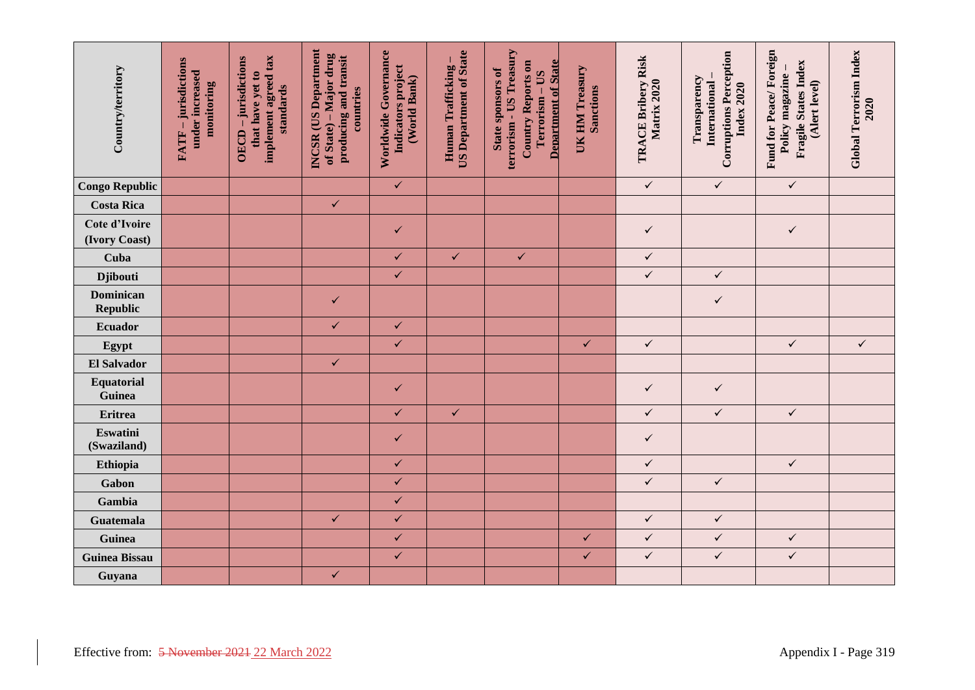| Country/territory                             | -jurisdictions<br>under increased<br>monitoring<br>FATF- | implement agreed tax<br>OECD - jurisdictions<br>that have yet to<br>standards | <b>INCSR</b> (US Department<br>of State) – Major drug<br>producing and transit<br>countries | Worldwide Governance<br>Indicators project<br>(World Bank) | <b>US Department of State</b><br>Human Trafficking | terrorism - US Treasury<br><b>Department of State</b><br><b>Country Reports on</b><br><b>State sponsors of</b><br>Terrorism - US | UK HM Treasury<br><b>Sanctions</b> | TRACE Bribery Risk<br>Matrix 2020 | <b>Corruptions Perception</b><br>Transparency<br>International<br><b>Index 2020</b> | Fund for Peace/Foreign<br>Fragile States Index<br>Policy magazine<br>(Alert level) | <b>Global Terrorism Index</b><br>2020 |
|-----------------------------------------------|----------------------------------------------------------|-------------------------------------------------------------------------------|---------------------------------------------------------------------------------------------|------------------------------------------------------------|----------------------------------------------------|----------------------------------------------------------------------------------------------------------------------------------|------------------------------------|-----------------------------------|-------------------------------------------------------------------------------------|------------------------------------------------------------------------------------|---------------------------------------|
| <b>Congo Republic</b>                         |                                                          |                                                                               |                                                                                             | $\checkmark$                                               |                                                    |                                                                                                                                  |                                    | $\checkmark$                      | $\checkmark$                                                                        | $\checkmark$                                                                       |                                       |
| <b>Costa Rica</b>                             |                                                          |                                                                               | $\checkmark$                                                                                |                                                            |                                                    |                                                                                                                                  |                                    |                                   |                                                                                     |                                                                                    |                                       |
| Cote d'Ivoire<br>(Ivory Coast)                |                                                          |                                                                               |                                                                                             | ✓                                                          |                                                    |                                                                                                                                  |                                    | $\checkmark$                      |                                                                                     | $\checkmark$                                                                       |                                       |
| Cuba                                          |                                                          |                                                                               |                                                                                             | $\checkmark$                                               | $\checkmark$                                       | $\checkmark$                                                                                                                     |                                    | $\checkmark$                      |                                                                                     |                                                                                    |                                       |
| <b>Djibouti</b>                               |                                                          |                                                                               |                                                                                             | $\checkmark$                                               |                                                    |                                                                                                                                  |                                    | $\checkmark$                      | $\checkmark$                                                                        |                                                                                    |                                       |
| <b>Dominican</b><br>Republic                  |                                                          |                                                                               | ✓                                                                                           |                                                            |                                                    |                                                                                                                                  |                                    |                                   | $\checkmark$                                                                        |                                                                                    |                                       |
| Ecuador                                       |                                                          |                                                                               | $\checkmark$                                                                                | $\checkmark$                                               |                                                    |                                                                                                                                  |                                    |                                   |                                                                                     |                                                                                    |                                       |
| Egypt                                         |                                                          |                                                                               |                                                                                             | $\checkmark$                                               |                                                    |                                                                                                                                  | $\checkmark$                       | $\checkmark$                      |                                                                                     | $\checkmark$                                                                       | $\checkmark$                          |
| El Salvador                                   |                                                          |                                                                               | $\checkmark$                                                                                |                                                            |                                                    |                                                                                                                                  |                                    |                                   |                                                                                     |                                                                                    |                                       |
| Equatorial<br>Guinea                          |                                                          |                                                                               |                                                                                             | $\checkmark$                                               |                                                    |                                                                                                                                  |                                    | $\checkmark$                      | $\checkmark$                                                                        |                                                                                    |                                       |
| <b>Eritrea</b>                                |                                                          |                                                                               |                                                                                             | $\checkmark$                                               | $\checkmark$                                       |                                                                                                                                  |                                    | $\checkmark$                      | $\checkmark$                                                                        | $\checkmark$                                                                       |                                       |
| Eswatini<br>(Swaziland)                       |                                                          |                                                                               |                                                                                             | ✓                                                          |                                                    |                                                                                                                                  |                                    | $\checkmark$                      |                                                                                     |                                                                                    |                                       |
| Ethiopia                                      |                                                          |                                                                               |                                                                                             | $\checkmark$                                               |                                                    |                                                                                                                                  |                                    | $\checkmark$                      |                                                                                     | $\checkmark$                                                                       |                                       |
| Gabon                                         |                                                          |                                                                               |                                                                                             | $\checkmark$                                               |                                                    |                                                                                                                                  |                                    | $\checkmark$                      | $\checkmark$                                                                        |                                                                                    |                                       |
| Gambia                                        |                                                          |                                                                               |                                                                                             | $\checkmark$                                               |                                                    |                                                                                                                                  |                                    |                                   |                                                                                     |                                                                                    |                                       |
| <b>Guatemala</b>                              |                                                          |                                                                               | $\checkmark$                                                                                | $\checkmark$                                               |                                                    |                                                                                                                                  |                                    | $\checkmark$                      | $\checkmark$                                                                        |                                                                                    |                                       |
| Guinea                                        |                                                          |                                                                               |                                                                                             | $\checkmark$                                               |                                                    |                                                                                                                                  | $\checkmark$                       | $\checkmark$                      | $\checkmark$                                                                        | $\checkmark$                                                                       |                                       |
| <b>Guinea Bissau</b>                          |                                                          |                                                                               |                                                                                             | $\checkmark$                                               |                                                    |                                                                                                                                  | $\checkmark$                       | $\checkmark$                      | $\checkmark$                                                                        | $\checkmark$                                                                       |                                       |
| Guyana                                        |                                                          |                                                                               | $\checkmark$                                                                                |                                                            |                                                    |                                                                                                                                  |                                    |                                   |                                                                                     |                                                                                    |                                       |
| Effective from: 5 November 2021 22 March 2022 |                                                          |                                                                               |                                                                                             |                                                            |                                                    |                                                                                                                                  |                                    |                                   |                                                                                     |                                                                                    | Appendix I - Page 319                 |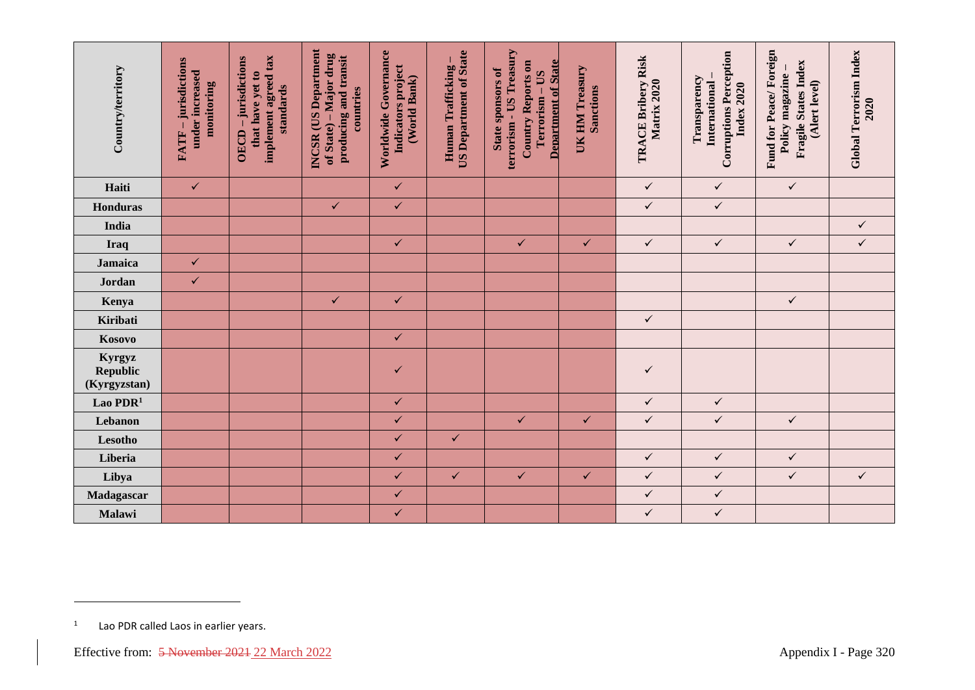| Country/territory                                             | FATF - jurisdictions<br>under increased<br>monitoring | implement agreed tax<br>OECD - jurisdictions<br>that have yet to<br>standards | <b>INCSR</b> (US Department<br>of State) – Major drug<br>producing and transit<br>countries | Worldwide Governance<br>Indicators project<br>(World Bank) | <b>US Department of State</b><br>Human Trafficking | terrorism - US Treasury<br><b>Department of State</b><br><b>Country Reports on</b><br><b>State sponsors of</b><br>Terrorism - US | UK HM Treasury<br><b>Sanctions</b> | TRACE Bribery Risk<br>Matrix 2020 | <b>Corruptions Perception</b><br>Transparency<br>International<br><b>Index 2020</b> | Fund for Peace/Foreign<br>Fragile States Index<br>Policy magazine<br>(Alert level) | <b>Global Terrorism Index</b><br>2020 |
|---------------------------------------------------------------|-------------------------------------------------------|-------------------------------------------------------------------------------|---------------------------------------------------------------------------------------------|------------------------------------------------------------|----------------------------------------------------|----------------------------------------------------------------------------------------------------------------------------------|------------------------------------|-----------------------------------|-------------------------------------------------------------------------------------|------------------------------------------------------------------------------------|---------------------------------------|
| Haiti                                                         | $\checkmark$                                          |                                                                               |                                                                                             | $\checkmark$                                               |                                                    |                                                                                                                                  |                                    | $\checkmark$                      | $\checkmark$                                                                        | $\checkmark$                                                                       |                                       |
| <b>Honduras</b>                                               |                                                       |                                                                               | $\checkmark$                                                                                | $\checkmark$                                               |                                                    |                                                                                                                                  |                                    | $\checkmark$                      | $\checkmark$                                                                        |                                                                                    |                                       |
| India                                                         |                                                       |                                                                               |                                                                                             |                                                            |                                                    |                                                                                                                                  |                                    |                                   |                                                                                     |                                                                                    | $\checkmark$                          |
| Iraq                                                          |                                                       |                                                                               |                                                                                             | $\checkmark$                                               |                                                    | $\checkmark$                                                                                                                     | $\checkmark$                       | $\checkmark$                      | $\checkmark$                                                                        | $\checkmark$                                                                       | $\checkmark$                          |
| Jamaica                                                       | $\checkmark$                                          |                                                                               |                                                                                             |                                                            |                                                    |                                                                                                                                  |                                    |                                   |                                                                                     |                                                                                    |                                       |
| Jordan                                                        | $\checkmark$                                          |                                                                               |                                                                                             |                                                            |                                                    |                                                                                                                                  |                                    |                                   |                                                                                     |                                                                                    |                                       |
| Kenya                                                         |                                                       |                                                                               | $\checkmark$                                                                                | $\checkmark$                                               |                                                    |                                                                                                                                  |                                    |                                   |                                                                                     | $\checkmark$                                                                       |                                       |
| Kiribati                                                      |                                                       |                                                                               |                                                                                             |                                                            |                                                    |                                                                                                                                  |                                    | $\checkmark$                      |                                                                                     |                                                                                    |                                       |
| Kosovo                                                        |                                                       |                                                                               |                                                                                             | $\checkmark$                                               |                                                    |                                                                                                                                  |                                    |                                   |                                                                                     |                                                                                    |                                       |
| Kyrgyz<br><b>Republic</b><br>(Kyrgyzstan)                     |                                                       |                                                                               |                                                                                             | ✓                                                          |                                                    |                                                                                                                                  |                                    | $\checkmark$                      |                                                                                     |                                                                                    |                                       |
| Lao PDR <sup>1</sup>                                          |                                                       |                                                                               |                                                                                             | $\checkmark$                                               |                                                    |                                                                                                                                  |                                    | $\checkmark$                      | $\checkmark$                                                                        |                                                                                    |                                       |
| Lebanon                                                       |                                                       |                                                                               |                                                                                             | $\checkmark$                                               |                                                    | $\checkmark$                                                                                                                     | $\checkmark$                       | $\checkmark$                      | $\checkmark$                                                                        | $\checkmark$                                                                       |                                       |
| Lesotho                                                       |                                                       |                                                                               |                                                                                             | $\checkmark$                                               | $\checkmark$                                       |                                                                                                                                  |                                    |                                   |                                                                                     |                                                                                    |                                       |
| Liberia                                                       |                                                       |                                                                               |                                                                                             | $\checkmark$                                               |                                                    |                                                                                                                                  |                                    | $\checkmark$                      | $\checkmark$                                                                        | $\checkmark$                                                                       |                                       |
| Libya                                                         |                                                       |                                                                               |                                                                                             | $\checkmark$                                               | $\checkmark$                                       | $\checkmark$                                                                                                                     | $\checkmark$                       | $\checkmark$                      | $\checkmark$                                                                        | $\checkmark$                                                                       | $\checkmark$                          |
| Madagascar                                                    |                                                       |                                                                               |                                                                                             | $\checkmark$                                               |                                                    |                                                                                                                                  |                                    | $\checkmark$                      | $\checkmark$                                                                        |                                                                                    |                                       |
| Malawi                                                        |                                                       |                                                                               |                                                                                             | $\checkmark$                                               |                                                    |                                                                                                                                  |                                    | $\checkmark$                      | $\checkmark$                                                                        |                                                                                    |                                       |
| $\mathbf{1}$<br>Effective from: 5 November 2021 22 March 2022 | Lao PDR called Laos in earlier years.                 |                                                                               |                                                                                             |                                                            |                                                    |                                                                                                                                  |                                    |                                   |                                                                                     |                                                                                    | Appendix I - Page 320                 |

<sup>1</sup> Lao PDR called Laos in earlier years.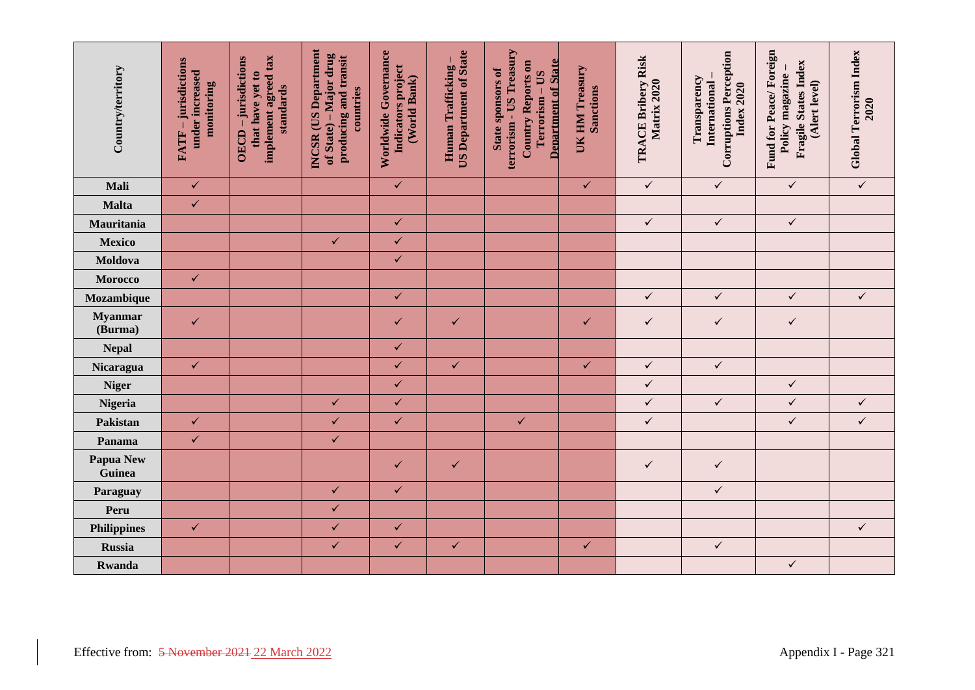| Country/territory                             | -jurisdictions<br>under increased<br>monitoring<br>FATF- | implement agreed tax<br>OECD-jurisdictions<br>that have yet to<br>standards | <b>INCSR</b> (US Department<br>of State) – Major drug<br>producing and transit<br>countries | Worldwide Governance<br>Indicators project<br>(World Bank) | <b>US Department of State</b><br>Human Trafficking | terrorism - US Treasury<br><b>Department of State</b><br>Country Reports on<br><b>State sponsors of</b><br>Terrorism - US | UK HM Treasury<br><b>Sanctions</b> | TRACE Bribery Risk<br>Matrix 2020 | <b>Corruptions Perception</b><br>Transparency<br>International<br><b>Index 2020</b> | Fund for Peace/Foreign<br>Fragile States Index<br>Policy magazine -<br>(Alert level) | Global Terrorism Index<br>2020 |
|-----------------------------------------------|----------------------------------------------------------|-----------------------------------------------------------------------------|---------------------------------------------------------------------------------------------|------------------------------------------------------------|----------------------------------------------------|---------------------------------------------------------------------------------------------------------------------------|------------------------------------|-----------------------------------|-------------------------------------------------------------------------------------|--------------------------------------------------------------------------------------|--------------------------------|
| Mali                                          | $\checkmark$                                             |                                                                             |                                                                                             | $\checkmark$                                               |                                                    |                                                                                                                           | $\checkmark$                       | $\checkmark$                      | $\checkmark$                                                                        | $\checkmark$                                                                         | $\checkmark$                   |
| Malta                                         | $\checkmark$                                             |                                                                             |                                                                                             |                                                            |                                                    |                                                                                                                           |                                    |                                   |                                                                                     |                                                                                      |                                |
| Mauritania                                    |                                                          |                                                                             |                                                                                             | $\checkmark$                                               |                                                    |                                                                                                                           |                                    | $\checkmark$                      | $\checkmark$                                                                        | $\checkmark$                                                                         |                                |
| <b>Mexico</b>                                 |                                                          |                                                                             | $\checkmark$                                                                                | $\checkmark$                                               |                                                    |                                                                                                                           |                                    |                                   |                                                                                     |                                                                                      |                                |
| Moldova                                       |                                                          |                                                                             |                                                                                             | $\checkmark$                                               |                                                    |                                                                                                                           |                                    |                                   |                                                                                     |                                                                                      |                                |
| Morocco                                       | $\checkmark$                                             |                                                                             |                                                                                             |                                                            |                                                    |                                                                                                                           |                                    |                                   |                                                                                     |                                                                                      |                                |
| Mozambique                                    |                                                          |                                                                             |                                                                                             | $\checkmark$                                               |                                                    |                                                                                                                           |                                    | $\checkmark$                      | $\checkmark$                                                                        | $\checkmark$                                                                         | $\checkmark$                   |
| <b>Myanmar</b><br>(Burma)                     | $\checkmark$                                             |                                                                             |                                                                                             | ✓                                                          | $\checkmark$                                       |                                                                                                                           | $\checkmark$                       | $\checkmark$                      | $\checkmark$                                                                        | $\checkmark$                                                                         |                                |
| <b>Nepal</b>                                  |                                                          |                                                                             |                                                                                             | $\checkmark$                                               |                                                    |                                                                                                                           |                                    |                                   |                                                                                     |                                                                                      |                                |
| Nicaragua                                     | $\checkmark$                                             |                                                                             |                                                                                             | $\checkmark$                                               | $\checkmark$                                       |                                                                                                                           | $\checkmark$                       | $\checkmark$                      | $\checkmark$                                                                        |                                                                                      |                                |
| <b>Niger</b>                                  |                                                          |                                                                             |                                                                                             | $\checkmark$                                               |                                                    |                                                                                                                           |                                    | $\checkmark$                      |                                                                                     | $\checkmark$                                                                         |                                |
| Nigeria                                       |                                                          |                                                                             | $\checkmark$                                                                                | $\checkmark$                                               |                                                    |                                                                                                                           |                                    | $\checkmark$                      | $\checkmark$                                                                        | $\checkmark$                                                                         | $\checkmark$                   |
| Pakistan                                      | $\checkmark$                                             |                                                                             | $\checkmark$                                                                                | $\checkmark$                                               |                                                    | $\checkmark$                                                                                                              |                                    | $\checkmark$                      |                                                                                     | $\checkmark$                                                                         | $\checkmark$                   |
| Panama                                        | $\checkmark$                                             |                                                                             | $\checkmark$                                                                                |                                                            |                                                    |                                                                                                                           |                                    |                                   |                                                                                     |                                                                                      |                                |
| <b>Papua New</b><br>Guinea                    |                                                          |                                                                             |                                                                                             | $\checkmark$                                               | $\checkmark$                                       |                                                                                                                           |                                    | $\checkmark$                      | $\checkmark$                                                                        |                                                                                      |                                |
| Paraguay                                      |                                                          |                                                                             | $\checkmark$                                                                                | $\checkmark$                                               |                                                    |                                                                                                                           |                                    |                                   | $\checkmark$                                                                        |                                                                                      |                                |
| Peru                                          |                                                          |                                                                             | $\checkmark$                                                                                |                                                            |                                                    |                                                                                                                           |                                    |                                   |                                                                                     |                                                                                      |                                |
| <b>Philippines</b>                            | $\checkmark$                                             |                                                                             | $\checkmark$                                                                                | $\checkmark$                                               |                                                    |                                                                                                                           |                                    |                                   |                                                                                     |                                                                                      | $\checkmark$                   |
| <b>Russia</b>                                 |                                                          |                                                                             | $\checkmark$                                                                                | $\checkmark$                                               | $\checkmark$                                       |                                                                                                                           | $\checkmark$                       |                                   | $\checkmark$                                                                        |                                                                                      |                                |
| Rwanda                                        |                                                          |                                                                             |                                                                                             |                                                            |                                                    |                                                                                                                           |                                    |                                   |                                                                                     | $\checkmark$                                                                         |                                |
| Effective from: 5 November 2021 22 March 2022 |                                                          |                                                                             |                                                                                             |                                                            |                                                    |                                                                                                                           |                                    |                                   |                                                                                     |                                                                                      | Appendix I - Page 321          |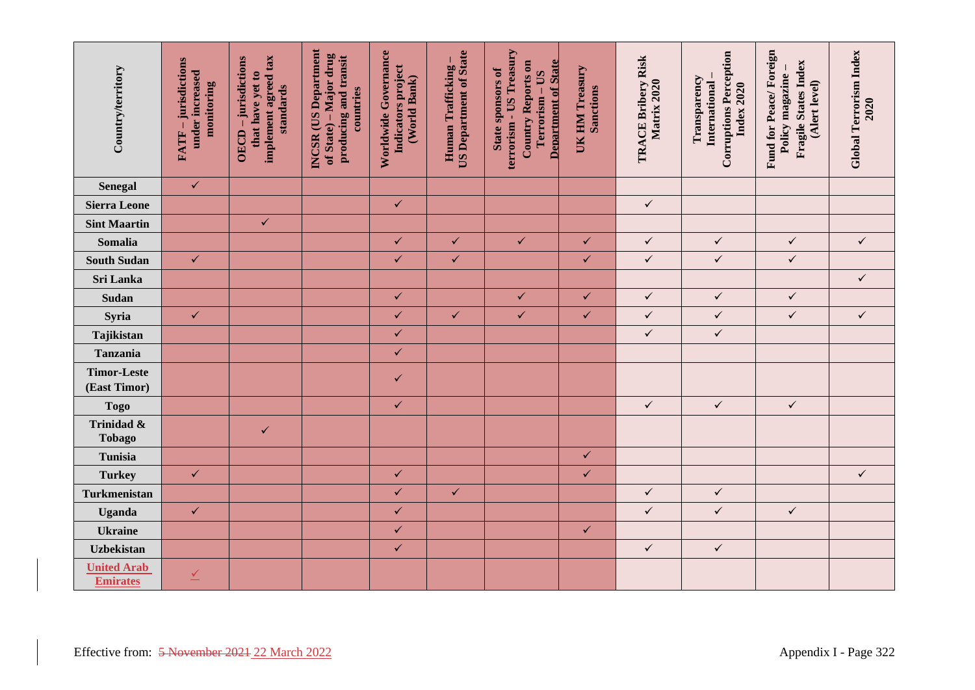| Country/territory                     | FATF - jurisdictions<br>under increased<br>monitoring                  | implement agreed tax<br>OECD - jurisdictions<br>that have yet to<br>standards | INCSR (US Department<br>of State) – Major drug<br>producing and transit<br>countries | Worldwide Governance<br>Indicators project<br>(World Bank) | <b>US Department of State</b><br>Human Trafficking- | terrorism - US Treasury<br><b>Department of State</b><br>Country Reports on<br>State sponsors of<br>Terrorism - US | UK HM Treasury<br>Sanctions | TRACE Bribery Risk<br>Matrix 2020 | <b>Corruptions Perception</b><br>Transparency<br>International<br>Index 2020 | Fund for Peace/Foreign<br>Fragile States Index<br>Policy magazine<br>(Alert level) | Global Terrorism Index<br>2020 |  |
|---------------------------------------|------------------------------------------------------------------------|-------------------------------------------------------------------------------|--------------------------------------------------------------------------------------|------------------------------------------------------------|-----------------------------------------------------|--------------------------------------------------------------------------------------------------------------------|-----------------------------|-----------------------------------|------------------------------------------------------------------------------|------------------------------------------------------------------------------------|--------------------------------|--|
| <b>Senegal</b>                        | $\checkmark$                                                           |                                                                               |                                                                                      |                                                            |                                                     |                                                                                                                    |                             |                                   |                                                                              |                                                                                    |                                |  |
| <b>Sierra Leone</b>                   |                                                                        |                                                                               |                                                                                      | $\checkmark$                                               |                                                     |                                                                                                                    |                             | $\checkmark$                      |                                                                              |                                                                                    |                                |  |
| <b>Sint Maartin</b>                   |                                                                        | $\checkmark$                                                                  |                                                                                      |                                                            |                                                     |                                                                                                                    |                             |                                   |                                                                              |                                                                                    |                                |  |
| Somalia                               |                                                                        |                                                                               |                                                                                      | $\checkmark$                                               | $\checkmark$                                        | $\checkmark$                                                                                                       | $\checkmark$                | $\checkmark$                      | $\checkmark$                                                                 | $\checkmark$                                                                       | $\checkmark$                   |  |
| <b>South Sudan</b>                    | $\checkmark$                                                           |                                                                               |                                                                                      | $\checkmark$                                               | $\checkmark$                                        |                                                                                                                    | $\checkmark$                | $\checkmark$                      | $\checkmark$                                                                 | $\checkmark$                                                                       |                                |  |
| Sri Lanka                             |                                                                        |                                                                               |                                                                                      |                                                            |                                                     |                                                                                                                    |                             |                                   |                                                                              |                                                                                    | $\checkmark$                   |  |
| Sudan                                 |                                                                        |                                                                               |                                                                                      | $\checkmark$                                               |                                                     | $\checkmark$                                                                                                       | $\checkmark$                | $\checkmark$                      | $\checkmark$                                                                 | $\checkmark$                                                                       |                                |  |
| Syria                                 | $\checkmark$                                                           |                                                                               |                                                                                      | $\checkmark$                                               | $\checkmark$                                        | $\checkmark$                                                                                                       | $\checkmark$                | $\checkmark$                      | $\checkmark$                                                                 | $\checkmark$                                                                       | $\checkmark$                   |  |
| Tajikistan                            |                                                                        |                                                                               |                                                                                      | $\checkmark$                                               |                                                     |                                                                                                                    |                             | $\checkmark$                      | $\checkmark$                                                                 |                                                                                    |                                |  |
| <b>Tanzania</b>                       |                                                                        |                                                                               |                                                                                      | $\checkmark$                                               |                                                     |                                                                                                                    |                             |                                   |                                                                              |                                                                                    |                                |  |
| <b>Timor-Leste</b><br>(East Timor)    |                                                                        |                                                                               |                                                                                      | ✓                                                          |                                                     |                                                                                                                    |                             |                                   |                                                                              |                                                                                    |                                |  |
| <b>Togo</b>                           |                                                                        |                                                                               |                                                                                      | $\checkmark$                                               |                                                     |                                                                                                                    |                             | $\checkmark$                      | $\checkmark$                                                                 | $\checkmark$                                                                       |                                |  |
| Trinidad &<br><b>Tobago</b>           |                                                                        | $\checkmark$                                                                  |                                                                                      |                                                            |                                                     |                                                                                                                    |                             |                                   |                                                                              |                                                                                    |                                |  |
| Tunisia                               |                                                                        |                                                                               |                                                                                      |                                                            |                                                     |                                                                                                                    | $\checkmark$                |                                   |                                                                              |                                                                                    |                                |  |
| <b>Turkey</b>                         | $\checkmark$                                                           |                                                                               |                                                                                      | $\checkmark$                                               |                                                     |                                                                                                                    | $\checkmark$                |                                   |                                                                              |                                                                                    | $\checkmark$                   |  |
| Turkmenistan                          |                                                                        |                                                                               |                                                                                      | $\checkmark$                                               | $\checkmark$                                        |                                                                                                                    |                             | $\checkmark$                      | $\checkmark$                                                                 |                                                                                    |                                |  |
| Uganda                                | $\checkmark$                                                           |                                                                               |                                                                                      | $\checkmark$                                               |                                                     |                                                                                                                    |                             | $\checkmark$                      | $\checkmark$                                                                 | $\checkmark$                                                                       |                                |  |
| <b>Ukraine</b>                        |                                                                        |                                                                               |                                                                                      | $\checkmark$                                               |                                                     |                                                                                                                    | $\checkmark$                |                                   |                                                                              |                                                                                    |                                |  |
| <b>Uzbekistan</b>                     |                                                                        |                                                                               |                                                                                      | $\checkmark$                                               |                                                     |                                                                                                                    |                             | $\checkmark$                      | $\checkmark$                                                                 |                                                                                    |                                |  |
| <b>United Arab</b><br><b>Emirates</b> | $\overline{\mathscr{L}}$                                               |                                                                               |                                                                                      |                                                            |                                                     |                                                                                                                    |                             |                                   |                                                                              |                                                                                    |                                |  |
|                                       | Effective from: 5 November 2021 22 March 2022<br>Appendix I - Page 322 |                                                                               |                                                                                      |                                                            |                                                     |                                                                                                                    |                             |                                   |                                                                              |                                                                                    |                                |  |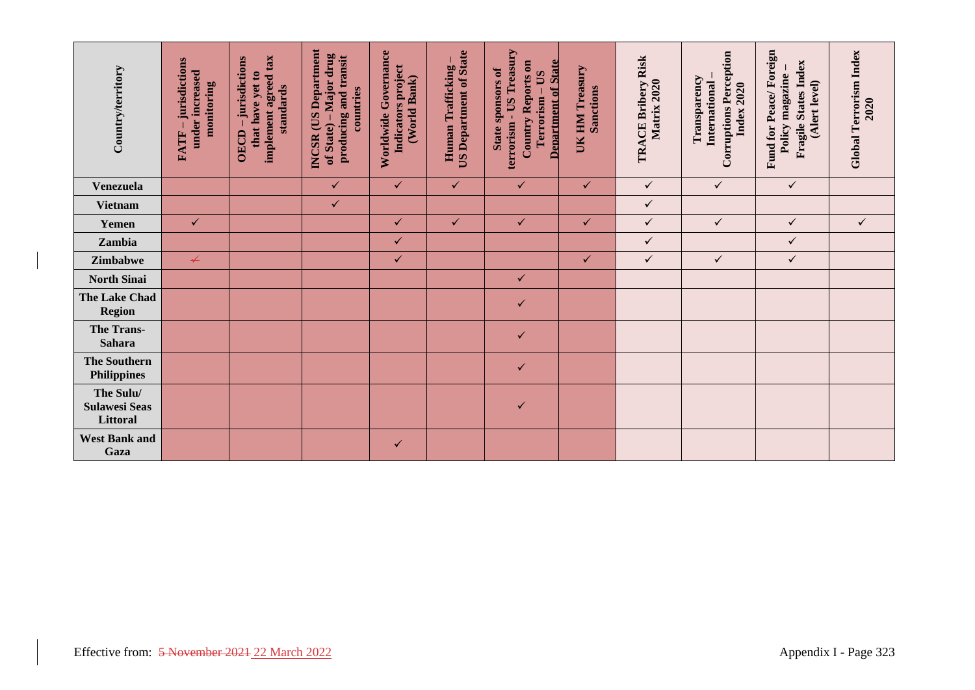| Country/territory                             | -jurisdictions<br>under increased<br>monitoring<br>FATF- | implement agreed tax<br>OECD-jurisdictions<br>that have yet to<br>standards | <b>INCSR</b> (US Department<br>of State) – Major drug<br>producing and transit<br>countries | Worldwide Governance<br>Indicators project<br>(World Bank) | <b>US Department of State</b><br>Human Trafficking | terrorism - US Treasury<br><b>Department of State</b><br>Country Reports on<br>State sponsors of<br>Terrorism - US | UK HM Treasury<br>Sanctions | TRACE Bribery Risk<br>Matrix 2020 | <b>Corruptions Perception</b><br>Transparency<br><b>International</b><br>Index 2020 | Fund for Peace/Foreign<br>Fragile States Index<br>Policy magazine<br>(Alert level) | Global Terrorism Index<br>2020 |
|-----------------------------------------------|----------------------------------------------------------|-----------------------------------------------------------------------------|---------------------------------------------------------------------------------------------|------------------------------------------------------------|----------------------------------------------------|--------------------------------------------------------------------------------------------------------------------|-----------------------------|-----------------------------------|-------------------------------------------------------------------------------------|------------------------------------------------------------------------------------|--------------------------------|
| <b>Venezuela</b>                              |                                                          |                                                                             | $\checkmark$                                                                                | $\checkmark$                                               | $\checkmark$                                       | $\checkmark$                                                                                                       | $\checkmark$                | $\checkmark$                      | $\checkmark$                                                                        | $\checkmark$                                                                       |                                |
| <b>Vietnam</b>                                |                                                          |                                                                             | $\checkmark$                                                                                |                                                            |                                                    |                                                                                                                    |                             | $\checkmark$                      |                                                                                     |                                                                                    |                                |
| Yemen                                         | $\checkmark$                                             |                                                                             |                                                                                             | $\checkmark$                                               | $\checkmark$                                       | $\checkmark$                                                                                                       | $\checkmark$                | $\checkmark$                      | $\checkmark$                                                                        | $\checkmark$                                                                       | $\checkmark$                   |
| Zambia                                        |                                                          |                                                                             |                                                                                             | $\checkmark$                                               |                                                    |                                                                                                                    |                             | $\checkmark$                      |                                                                                     | $\checkmark$                                                                       |                                |
| Zimbabwe                                      | $\overline{\mathbf{r}}$                                  |                                                                             |                                                                                             | $\checkmark$                                               |                                                    |                                                                                                                    | $\checkmark$                | $\checkmark$                      | $\checkmark$                                                                        | $\checkmark$                                                                       |                                |
| <b>North Sinai</b>                            |                                                          |                                                                             |                                                                                             |                                                            |                                                    | $\checkmark$                                                                                                       |                             |                                   |                                                                                     |                                                                                    |                                |
| The Lake Chad<br><b>Region</b>                |                                                          |                                                                             |                                                                                             |                                                            |                                                    | $\checkmark$                                                                                                       |                             |                                   |                                                                                     |                                                                                    |                                |
| The Trans-<br>Sahara                          |                                                          |                                                                             |                                                                                             |                                                            |                                                    | $\checkmark$                                                                                                       |                             |                                   |                                                                                     |                                                                                    |                                |
| <b>The Southern</b><br><b>Philippines</b>     |                                                          |                                                                             |                                                                                             |                                                            |                                                    | $\checkmark$                                                                                                       |                             |                                   |                                                                                     |                                                                                    |                                |
| The Sulu/<br><b>Sulawesi Seas</b><br>Littoral |                                                          |                                                                             |                                                                                             |                                                            |                                                    | ✓                                                                                                                  |                             |                                   |                                                                                     |                                                                                    |                                |
| <b>West Bank and</b><br>Gaza                  |                                                          |                                                                             |                                                                                             | $\checkmark$                                               |                                                    |                                                                                                                    |                             |                                   |                                                                                     |                                                                                    |                                |
| Effective from: 5 November 2021 22 March 2022 |                                                          |                                                                             |                                                                                             |                                                            |                                                    |                                                                                                                    |                             |                                   |                                                                                     |                                                                                    |                                |